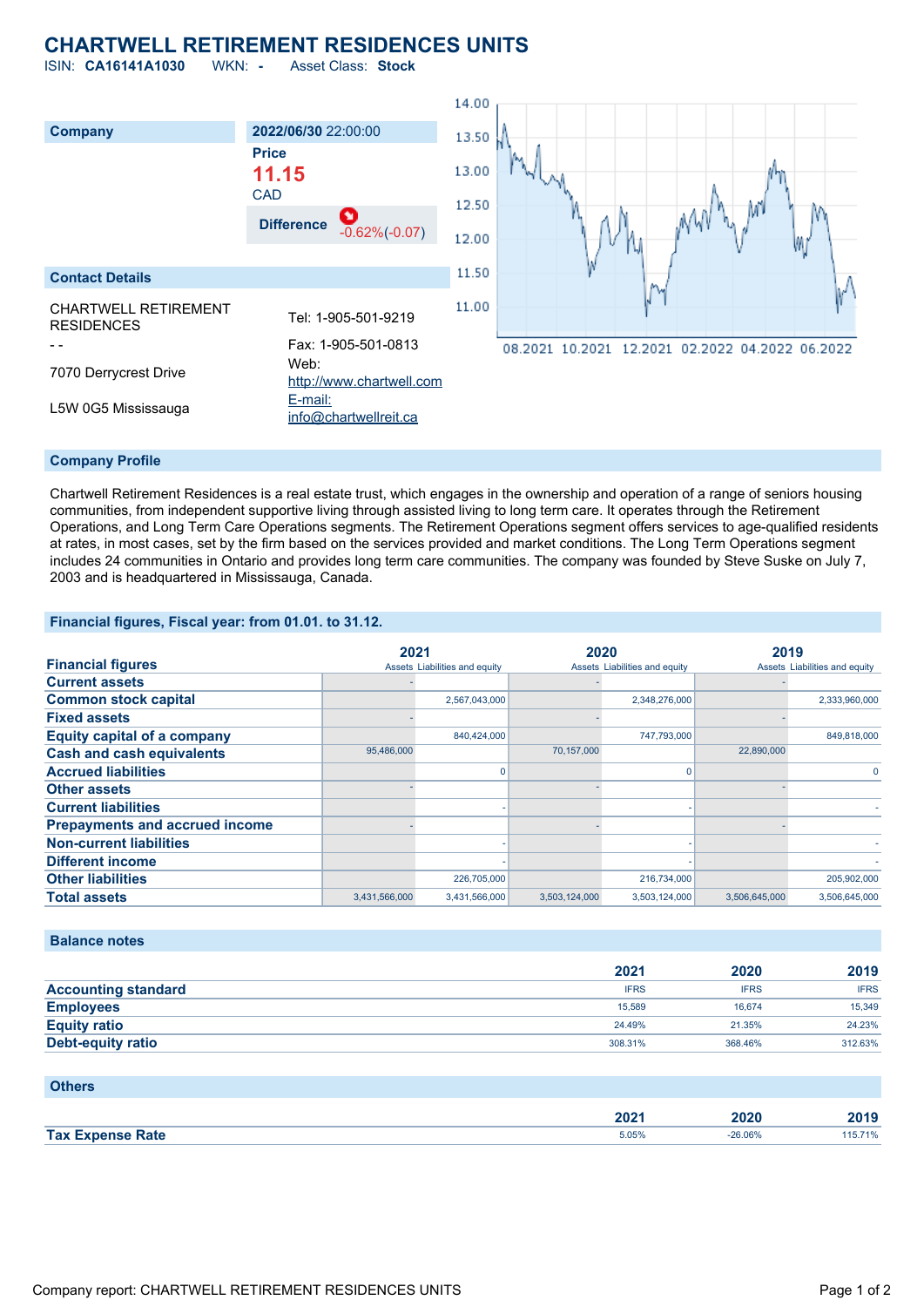## **CHARTWELL RETIREMENT RESIDENCES UNITS**

ISIN: **CA16141A1030** WKN: **-** Asset Class: **Stock**



Chartwell Retirement Residences is a real estate trust, which engages in the ownership and operation of a range of seniors housing communities, from independent supportive living through assisted living to long term care. It operates through the Retirement Operations, and Long Term Care Operations segments. The Retirement Operations segment offers services to age-qualified residents at rates, in most cases, set by the firm based on the services provided and market conditions. The Long Term Operations segment includes 24 communities in Ontario and provides long term care communities. The company was founded by Steve Suske on July 7, 2003 and is headquartered in Mississauga, Canada.

**Financial figures, Fiscal year: from 01.01. to 31.12.**

|                                       | 2021          |                               | 2020          |                               | 2019          |                               |
|---------------------------------------|---------------|-------------------------------|---------------|-------------------------------|---------------|-------------------------------|
| <b>Financial figures</b>              |               | Assets Liabilities and equity |               | Assets Liabilities and equity |               | Assets Liabilities and equity |
| <b>Current assets</b>                 |               |                               |               |                               |               |                               |
| <b>Common stock capital</b>           |               | 2,567,043,000                 |               | 2,348,276,000                 |               | 2,333,960,000                 |
| <b>Fixed assets</b>                   |               |                               |               |                               |               |                               |
| <b>Equity capital of a company</b>    |               | 840,424,000                   |               | 747,793,000                   |               | 849,818,000                   |
| <b>Cash and cash equivalents</b>      | 95,486,000    |                               | 70,157,000    |                               | 22,890,000    |                               |
| <b>Accrued liabilities</b>            |               |                               |               | 0                             |               |                               |
| <b>Other assets</b>                   |               |                               |               |                               |               |                               |
| <b>Current liabilities</b>            |               |                               |               |                               |               |                               |
| <b>Prepayments and accrued income</b> |               |                               |               |                               |               |                               |
| <b>Non-current liabilities</b>        |               |                               |               |                               |               |                               |
| <b>Different income</b>               |               |                               |               |                               |               |                               |
| <b>Other liabilities</b>              |               | 226,705,000                   |               | 216,734,000                   |               | 205,902,000                   |
| <b>Total assets</b>                   | 3,431,566,000 | 3,431,566,000                 | 3,503,124,000 | 3,503,124,000                 | 3,506,645,000 | 3,506,645,000                 |

**Balance notes**

|                            | 2021        | 2020        | 2019        |
|----------------------------|-------------|-------------|-------------|
| <b>Accounting standard</b> | <b>IFRS</b> | <b>IFRS</b> | <b>IFRS</b> |
| <b>Employees</b>           | 15,589      | 16.674      | 15,349      |
| <b>Equity ratio</b>        | 24.49%      | 21.35%      | 24.23%      |
| <b>Debt-equity ratio</b>   | 308.31%     | 368.46%     | 312.63%     |

**Others**

|                         | 2024<br>ZUZ 1 | ZUZU           | 2010<br>40 I.J |
|-------------------------|---------------|----------------|----------------|
| <b>Tax Expense Rate</b> | 5.05%         | $-26.06%$<br>. | 710%           |
|                         |               |                |                |